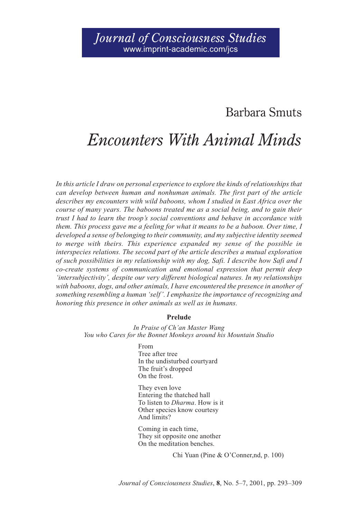# *Journal of Consciousness Studies* www.imprint-academic.com/jcs

# Barbara Smuts

# *Encounters With Animal Minds*

*In this article I draw on personal experience to explore the kinds of relationships that can develop between human and nonhuman animals. The first part of the article describes my encounters with wild baboons, whom I studied in East Africa over the course of many years. The baboons treated me as a social being, and to gain their trust I had to learn the troop's social conventions and behave in accordance with them. This process gave me a feeling for what it means to be a baboon. Over time, I developed a sense of belonging to their community, and my subjective identity seemed to merge with theirs. This experience expanded my sense of the possible in interspecies relations. The second part of the article describes a mutual exploration of such possibilities in my relationship with my dog, Safi. I describe how Safi and I co-create systems of communication and emotional expression that permit deep 'intersubjectivity', despite our very different biological natures. In my relationships with baboons, dogs, and other animals, I have encountered the presence in another of something resembling a human 'self'. I emphasize the importance of recognizing and honoring this presence in other animals as well as in humans.*

# **Prelude**

*In Praise of Ch'an Master Wang You who Cares for the Bonnet Monkeys around his Mountain Studio*

## From

Tree after tree In the undisturbed courtyard The fruit's dropped On the frost.

They even love Entering the thatched hall To listen to *Dharma*. How is it Other species know courtesy And limits?

Coming in each time, They sit opposite one another On the meditation benches.

Chi Yuan (Pine & O'Conner,nd, p. 100)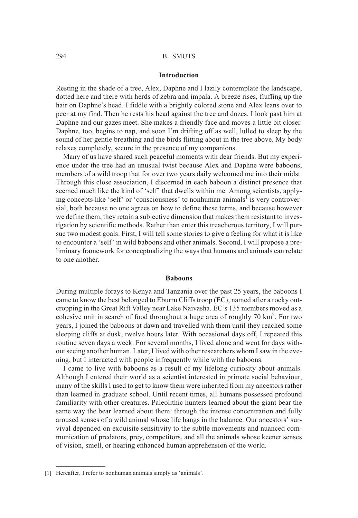# **Introduction**

Resting in the shade of a tree, Alex, Daphne and I lazily contemplate the landscape, dotted here and there with herds of zebra and impala. A breeze rises, fluffing up the hair on Daphne's head. I fiddle with a brightly colored stone and Alex leans over to peer at my find. Then he rests his head against the tree and dozes. I look past him at Daphne and our gazes meet. She makes a friendly face and moves a little bit closer. Daphne, too, begins to nap, and soon I'm drifting off as well, lulled to sleep by the sound of her gentle breathing and the birds flitting about in the tree above. My body relaxes completely, secure in the presence of my companions.

Many of us have shared such peaceful moments with dear friends. But my experience under the tree had an unusual twist because Alex and Daphne were baboons, members of a wild troop that for over two years daily welcomed me into their midst. Through this close association, I discerned in each baboon a distinct presence that seemed much like the kind of 'self' that dwells within me. Among scientists, applying concepts like 'self' or 'consciousness' to nonhuman animals<sup>1</sup> is very controversial, both because no one agrees on how to define these terms, and because however we define them, they retain a subjective dimension that makes them resistant to investigation by scientific methods. Rather than enter this treacherous territory, I will pursue two modest goals. First, I will tell some stories to give a feeling for what it is like to encounter a 'self' in wild baboons and other animals. Second, I will propose a preliminary framework for conceptualizing the ways that humans and animals can relate to one another.

#### **Baboons**

During multiple forays to Kenya and Tanzania over the past 25 years, the baboons I came to know the best belonged to Eburru Cliffs troop (EC), named after a rocky outcropping in the Great Rift Valley near Lake Naivasha. EC's 135 members moved as a cohesive unit in search of food throughout a huge area of roughly  $70 \text{ km}^2$ . For two years, I joined the baboons at dawn and travelled with them until they reached some sleeping cliffs at dusk, twelve hours later. With occasional days off, I repeated this routine seven days a week. For several months, I lived alone and went for days without seeing another human. Later, I lived with other researchers whom I saw in the evening, but I interacted with people infrequently while with the baboons.

I came to live with baboons as a result of my lifelong curiosity about animals. Although I entered their world as a scientist interested in primate social behaviour, many of the skills I used to get to know them were inherited from my ancestors rather than learned in graduate school. Until recent times, all humans possessed profound familiarity with other creatures. Paleolithic hunters learned about the giant bear the same way the bear learned about them: through the intense concentration and fully aroused senses of a wild animal whose life hangs in the balance. Our ancestors' survival depended on exquisite sensitivity to the subtle movements and nuanced communication of predators, prey, competitors, and all the animals whose keener senses of vision, smell, or hearing enhanced human apprehension of the world.

<sup>[1]</sup> Hereafter, I refer to nonhuman animals simply as 'animals'.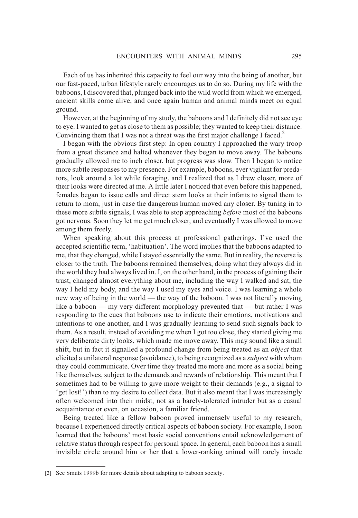Each of us has inherited this capacity to feel our way into the being of another, but our fast-paced, urban lifestyle rarely encourages us to do so. During my life with the baboons, I discovered that, plunged back into the wild world from which we emerged, ancient skills come alive, and once again human and animal minds meet on equal ground.

However, at the beginning of my study, the baboons and I definitely did not see eye to eye. I wanted to get as close to them as possible; they wanted to keep their distance. Convincing them that I was not a threat was the first major challenge I faced.<sup>2</sup>

I began with the obvious first step: In open country I approached the wary troop from a great distance and halted whenever they began to move away. The baboons gradually allowed me to inch closer, but progress was slow. Then I began to notice more subtle responses to my presence. For example, baboons, ever vigilant for predators, look around a lot while foraging, and I realized that as I drew closer, more of their looks were directed at me. A little later I noticed that even before this happened, females began to issue calls and direct stern looks at their infants to signal them to return to mom, just in case the dangerous human moved any closer. By tuning in to these more subtle signals, I was able to stop approaching *before* most of the baboons got nervous. Soon they let me get much closer, and eventually I was allowed to move among them freely.

When speaking about this process at professional gatherings, I've used the accepted scientific term, 'habituation'. The word implies that the baboons adapted to me, that they changed, while I stayed essentially the same. But in reality, the reverse is closer to the truth. The baboons remained themselves, doing what they always did in the world they had always lived in. I, on the other hand, in the process of gaining their trust, changed almost everything about me, including the way I walked and sat, the way I held my body, and the way I used my eyes and voice. I was learning a whole new way of being in the world — the way of the baboon. I was not literally moving like a baboon — my very different morphology prevented that — but rather I was responding to the cues that baboons use to indicate their emotions, motivations and intentions to one another, and I was gradually learning to send such signals back to them. As a result, instead of avoiding me when I got too close, they started giving me very deliberate dirty looks, which made me move away. This may sound like a small shift, but in fact it signalled a profound change from being treated as an *object* that elicited a unilateral response (avoidance), to being recognized as a *subject* with whom they could communicate. Over time they treated me more and more as a social being like themselves, subject to the demands and rewards of relationship. This meant that I sometimes had to be willing to give more weight to their demands (e.g., a signal to 'get lost!') than to my desire to collect data. But it also meant that I was increasingly often welcomed into their midst, not as a barely-tolerated intruder but as a casual acquaintance or even, on occasion, a familiar friend.

Being treated like a fellow baboon proved immensely useful to my research, because I experienced directly critical aspects of baboon society. For example, I soon learned that the baboons' most basic social conventions entail acknowledgement of relative status through respect for personal space. In general, each baboon has a small invisible circle around him or her that a lower-ranking animal will rarely invade

<sup>[2]</sup> See Smuts 1999b for more details about adapting to baboon society.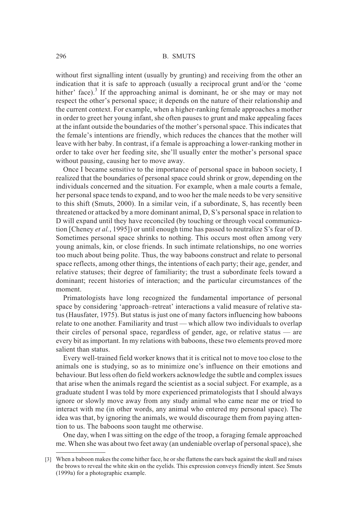without first signalling intent (usually by grunting) and receiving from the other an indication that it is safe to approach (usually a reciprocal grunt and/or the 'come hither' face).<sup>3</sup> If the approaching animal is dominant, he or she may or may not respect the other's personal space; it depends on the nature of their relationship and the current context. For example, when a higher-ranking female approaches a mother in order to greet her young infant, she often pauses to grunt and make appealing faces at the infant outside the boundaries of the mother's personal space. This indicates that the female's intentions are friendly, which reduces the chances that the mother will leave with her baby. In contrast, if a female is approaching a lower-ranking mother in order to take over her feeding site, she'll usually enter the mother's personal space without pausing, causing her to move away.

Once I became sensitive to the importance of personal space in baboon society, I realized that the boundaries of personal space could shrink or grow, depending on the individuals concerned and the situation. For example, when a male courts a female, her personal space tends to expand, and to woo her the male needs to be very sensitive to this shift (Smuts, 2000). In a similar vein, if a subordinate, S, has recently been threatened or attacked by a more dominant animal, D, S's personal space in relation to D will expand until they have reconciled (by touching or through vocal communication [Cheney *et al.*, 1995]) or until enough time has passed to neutralize S's fear of D. Sometimes personal space shrinks to nothing. This occurs most often among very young animals, kin, or close friends. In such intimate relationships, no one worries too much about being polite. Thus, the way baboons construct and relate to personal space reflects, among other things, the intentions of each party; their age, gender, and relative statuses; their degree of familiarity; the trust a subordinate feels toward a dominant; recent histories of interaction; and the particular circumstances of the moment.

Primatologists have long recognized the fundamental importance of personal space by considering 'approach–retreat' interactions a valid measure of relative status (Hausfater, 1975). But status is just one of many factors influencing how baboons relate to one another. Familiarity and trust — which allow two individuals to overlap their circles of personal space, regardless of gender, age, or relative status — are every bit as important. In my relations with baboons, these two elements proved more salient than status.

Every well-trained field worker knows that it is critical not to move too close to the animals one is studying, so as to minimize one's influence on their emotions and behaviour. But less often do field workers acknowledge the subtle and complex issues that arise when the animals regard the scientist as a social subject. For example, as a graduate student I was told by more experienced primatologists that I should always ignore or slowly move away from any study animal who came near me or tried to interact with me (in other words, any animal who entered my personal space). The idea was that, by ignoring the animals, we would discourage them from paying attention to us. The baboons soon taught me otherwise.

One day, when I was sitting on the edge of the troop, a foraging female approached me. When she was about two feet away (an undeniable overlap of personal space), she

<sup>[3]</sup> When a baboon makes the come hither face, he or she flattens the ears back against the skull and raises the brows to reveal the white skin on the eyelids. This expression conveys friendly intent. See Smuts (1999a) for a photographic example.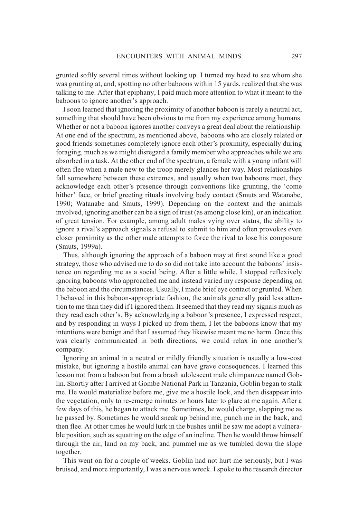grunted softly several times without looking up. I turned my head to see whom she was grunting at, and, spotting no other baboons within 15 yards, realized that she was talking to me. After that epiphany, I paid much more attention to what it meant to the baboons to ignore another's approach.

I soon learned that ignoring the proximity of another baboon is rarely a neutral act, something that should have been obvious to me from my experience among humans. Whether or not a baboon ignores another conveys a great deal about the relationship. At one end of the spectrum, as mentioned above, baboons who are closely related or good friends sometimes completely ignore each other's proximity, especially during foraging, much as we might disregard a family member who approaches while we are absorbed in a task. At the other end of the spectrum, a female with a young infant will often flee when a male new to the troop merely glances her way. Most relationships fall somewhere between these extremes, and usually when two baboons meet, they acknowledge each other's presence through conventions like grunting, the 'come hither' face, or brief greeting rituals involving body contact (Smuts and Watanabe, 1990; Watanabe and Smuts, 1999). Depending on the context and the animals involved, ignoring another can be a sign of trust (as among close kin), or an indication of great tension. For example, among adult males vying over status, the ability to ignore a rival's approach signals a refusal to submit to him and often provokes even closer proximity as the other male attempts to force the rival to lose his composure (Smuts, 1999a).

Thus, although ignoring the approach of a baboon may at first sound like a good strategy, those who advised me to do so did not take into account the baboons' insistence on regarding me as a social being. After a little while, I stopped reflexively ignoring baboons who approached me and instead varied my response depending on the baboon and the circumstances. Usually, I made brief eye contact or grunted. When I behaved in this baboon-appropriate fashion, the animals generally paid less attention to me than they did if I ignored them. It seemed that they read my signals much as they read each other's. By acknowledging a baboon's presence, I expressed respect, and by responding in ways I picked up from them, I let the baboons know that my intentions were benign and that I assumed they likewise meant me no harm. Once this was clearly communicated in both directions, we could relax in one another's company.

Ignoring an animal in a neutral or mildly friendly situation is usually a low-cost mistake, but ignoring a hostile animal can have grave consequences. I learned this lesson not from a baboon but from a brash adolescent male chimpanzee named Goblin. Shortly after I arrived at Gombe National Park in Tanzania, Goblin began to stalk me. He would materialize before me, give me a hostile look, and then disappear into the vegetation, only to re-emerge minutes or hours later to glare at me again. After a few days of this, he began to attack me. Sometimes, he would charge, slapping me as he passed by. Sometimes he would sneak up behind me, punch me in the back, and then flee. At other times he would lurk in the bushes until he saw me adopt a vulnerable position, such as squatting on the edge of an incline. Then he would throw himself through the air, land on my back, and pummel me as we tumbled down the slope together.

This went on for a couple of weeks. Goblin had not hurt me seriously, but I was bruised, and more importantly, I was a nervous wreck. I spoke to the research director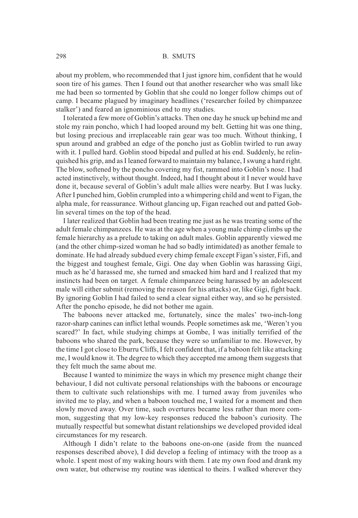about my problem, who recommended that I just ignore him, confident that he would soon tire of his games. Then I found out that another researcher who was small like me had been so tormented by Goblin that she could no longer follow chimps out of camp. I became plagued by imaginary headlines ('researcher foiled by chimpanzee stalker') and feared an ignominious end to my studies.

I tolerated a few more of Goblin's attacks. Then one day he snuck up behind me and stole my rain poncho, which I had looped around my belt. Getting hit was one thing, but losing precious and irreplaceable rain gear was too much. Without thinking, I spun around and grabbed an edge of the poncho just as Goblin twirled to run away with it. I pulled hard. Goblin stood bipedal and pulled at his end. Suddenly, he relinquished his grip, and as I leaned forward to maintain my balance, I swung a hard right. The blow, softened by the poncho covering my fist, rammed into Goblin's nose. I had acted instinctively, without thought. Indeed, had I thought about it I never would have done it, because several of Goblin's adult male allies were nearby. But I was lucky. After I punched him, Goblin crumpled into a whimpering child and went to Figan, the alpha male, for reassurance. Without glancing up, Figan reached out and patted Goblin several times on the top of the head.

I later realized that Goblin had been treating me just as he was treating some of the adult female chimpanzees. He was at the age when a young male chimp climbs up the female hierarchy as a prelude to taking on adult males. Goblin apparently viewed me (and the other chimp-sized woman he had so badly intimidated) as another female to dominate. He had already subdued every chimp female except Figan's sister, Fifi, and the biggest and toughest female, Gigi. One day when Goblin was harassing Gigi, much as he'd harassed me, she turned and smacked him hard and I realized that my instincts had been on target. A female chimpanzee being harassed by an adolescent male will either submit (removing the reason for his attacks) or, like Gigi, fight back. By ignoring Goblin I had failed to send a clear signal either way, and so he persisted. After the poncho episode, he did not bother me again.

The baboons never attacked me, fortunately, since the males' two-inch-long razor-sharp canines can inflict lethal wounds. People sometimes ask me, 'Weren't you scared?' In fact, while studying chimps at Gombe, I was initially terrified of the baboons who shared the park, because they were so unfamiliar to me. However, by the time I got close to Eburru Cliffs, I felt confident that, if a baboon felt like attacking me, I would know it. The degree to which they accepted me among them suggests that they felt much the same about me.

Because I wanted to minimize the ways in which my presence might change their behaviour, I did not cultivate personal relationships with the baboons or encourage them to cultivate such relationships with me. I turned away from juveniles who invited me to play, and when a baboon touched me, I waited for a moment and then slowly moved away. Over time, such overtures became less rather than more common, suggesting that my low-key responses reduced the baboon's curiosity. The mutually respectful but somewhat distant relationships we developed provided ideal circumstances for my research.

Although I didn't relate to the baboons one-on-one (aside from the nuanced responses described above), I did develop a feeling of intimacy with the troop as a whole. I spent most of my waking hours with them. I ate my own food and drank my own water, but otherwise my routine was identical to theirs. I walked wherever they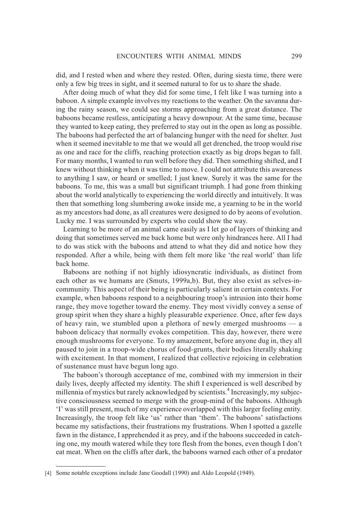did, and I rested when and where they rested. Often, during siesta time, there were only a few big trees in sight, and it seemed natural to for us to share the shade.

After doing much of what they did for some time, I felt like I was turning into a baboon. A simple example involves my reactions to the weather. On the savanna during the rainy season, we could see storms approaching from a great distance. The baboons became restless, anticipating a heavy downpour. At the same time, because they wanted to keep eating, they preferred to stay out in the open as long as possible. The baboons had perfected the art of balancing hunger with the need for shelter. Just when it seemed inevitable to me that we would all get drenched, the troop would rise as one and race for the cliffs, reaching protection exactly as big drops began to fall. For many months, I wanted to run well before they did. Then something shifted, and I knew without thinking when it was time to move. I could not attribute this awareness to anything I saw, or heard or smelled; I just knew. Surely it was the same for the baboons. To me, this was a small but significant triumph. I had gone from thinking about the world analytically to experiencing the world directly and intuitively. It was then that something long slumbering awoke inside me, a yearning to be in the world as my ancestors had done, as all creatures were designed to do by aeons of evolution. Lucky me. I was surrounded by experts who could show the way.

Learning to be more of an animal came easily as I let go of layers of thinking and doing that sometimes served me back home but were only hindrances here. All I had to do was stick with the baboons and attend to what they did and notice how they responded. After a while, being with them felt more like 'the real world' than life back home.

Baboons are nothing if not highly idiosyncratic individuals, as distinct from each other as we humans are (Smuts, 1999a,b). But, they also exist as selves-incommunity. This aspect of their being is particularly salient in certain contexts. For example, when baboons respond to a neighbouring troop's intrusion into their home range, they move together toward the enemy. They most vividly convey a sense of group spirit when they share a highly pleasurable experience. Once, after few days of heavy rain, we stumbled upon a plethora of newly emerged mushrooms — a baboon delicacy that normally evokes competition. This day, however, there were enough mushrooms for everyone. To my amazement, before anyone dug in, they all paused to join in a troop-wide chorus of food-grunts, their bodies literally shaking with excitement. In that moment, I realized that collective rejoicing in celebration of sustenance must have begun long ago.

The baboon's thorough acceptance of me, combined with my immersion in their daily lives, deeply affected my identity. The shift I experienced is well described by millennia of mystics but rarely acknowledged by scientists.<sup>4</sup> Increasingly, my subjective consciousness seemed to merge with the group-mind of the baboons. Although 'I' was still present, much of my experience overlapped with this larger feeling entity. Increasingly, the troop felt like 'us' rather than 'them'. The baboons' satisfactions became my satisfactions, their frustrations my frustrations. When I spotted a gazelle fawn in the distance, I apprehended it as prey, and if the baboons succeeded in catching one, my mouth watered while they tore flesh from the bones, even though I don't eat meat. When on the cliffs after dark, the baboons warned each other of a predator

<sup>[4]</sup> Some notable exceptions include Jane Goodall (1990) and Aldo Leopold (1949).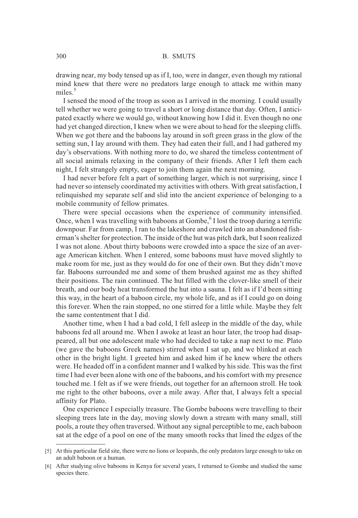drawing near, my body tensed up as if I, too, were in danger, even though my rational mind knew that there were no predators large enough to attack me within many miles.<sup>5</sup>

I sensed the mood of the troop as soon as I arrived in the morning. I could usually tell whether we were going to travel a short or long distance that day. Often, I anticipated exactly where we would go, without knowing how I did it. Even though no one had yet changed direction, I knew when we were about to head for the sleeping cliffs. When we got there and the baboons lay around in soft green grass in the glow of the setting sun, I lay around with them. They had eaten their full, and I had gathered my day's observations. With nothing more to do, we shared the timeless contentment of all social animals relaxing in the company of their friends. After I left them each night, I felt strangely empty, eager to join them again the next morning.

I had never before felt a part of something larger, which is not surprising, since I had never so intensely coordinated my activities with others. With great satisfaction, I relinquished my separate self and slid into the ancient experience of belonging to a mobile community of fellow primates.

There were special occasions when the experience of community intensified. Once, when I was travelling with baboons at Gombe,  $6$  I lost the troop during a terrific downpour. Far from camp, I ran to the lakeshore and crawled into an abandoned fisherman's shelter for protection. The inside of the hut was pitch dark, but I soon realized I was not alone. About thirty baboons were crowded into a space the size of an average American kitchen. When I entered, some baboons must have moved slightly to make room for me, just as they would do for one of their own. But they didn't move far. Baboons surrounded me and some of them brushed against me as they shifted their positions. The rain continued. The hut filled with the clover-like smell of their breath, and our body heat transformed the hut into a sauna. I felt as if I'd been sitting this way, in the heart of a baboon circle, my whole life, and as if I could go on doing this forever. When the rain stopped, no one stirred for a little while. Maybe they felt the same contentment that I did.

Another time, when I had a bad cold, I fell asleep in the middle of the day, while baboons fed all around me. When I awoke at least an hour later, the troop had disappeared, all but one adolescent male who had decided to take a nap next to me. Plato (we gave the baboons Greek names) stirred when I sat up, and we blinked at each other in the bright light. I greeted him and asked him if he knew where the others were. He headed off in a confident manner and I walked by his side. This was the first time I had ever been alone with one of the baboons, and his comfort with my presence touched me. I felt as if we were friends, out together for an afternoon stroll. He took me right to the other baboons, over a mile away. After that, I always felt a special affinity for Plato.

One experience I especially treasure. The Gombe baboons were travelling to their sleeping trees late in the day, moving slowly down a stream with many small, still pools, a route they often traversed. Without any signal perceptible to me, each baboon sat at the edge of a pool on one of the many smooth rocks that lined the edges of the

<sup>[5]</sup> At this particular field site, there were no lions or leopards, the only predators large enough to take on an adult baboon or a human.

<sup>[6]</sup> After studying olive baboons in Kenya for several years, I returned to Gombe and studied the same species there.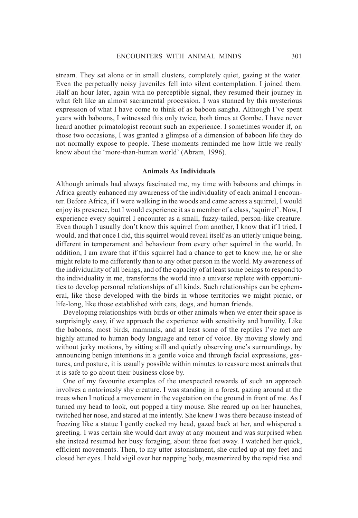stream. They sat alone or in small clusters, completely quiet, gazing at the water. Even the perpetually noisy juveniles fell into silent contemplation. I joined them. Half an hour later, again with no perceptible signal, they resumed their journey in what felt like an almost sacramental procession. I was stunned by this mysterious expression of what I have come to think of as baboon sangha. Although I've spent years with baboons, I witnessed this only twice, both times at Gombe. I have never heard another primatologist recount such an experience. I sometimes wonder if, on those two occasions, I was granted a glimpse of a dimension of baboon life they do not normally expose to people. These moments reminded me how little we really know about the 'more-than-human world' (Abram, 1996).

# **Animals As Individuals**

Although animals had always fascinated me, my time with baboons and chimps in Africa greatly enhanced my awareness of the individuality of each animal I encounter. Before Africa, if I were walking in the woods and came across a squirrel, I would enjoy its presence, but I would experience it as a member of a class, 'squirrel'. Now, I experience every squirrel I encounter as a small, fuzzy-tailed, person-like creature. Even though I usually don't know this squirrel from another, I know that if I tried, I would, and that once I did, this squirrel would reveal itself as an utterly unique being, different in temperament and behaviour from every other squirrel in the world. In addition, I am aware that if this squirrel had a chance to get to know me, he or she might relate to me differently than to any other person in the world. My awareness of the individuality of all beings, and of the capacity of at least some beings to respond to the individuality in me, transforms the world into a universe replete with opportunities to develop personal relationships of all kinds. Such relationships can be ephemeral, like those developed with the birds in whose territories we might picnic, or life-long, like those established with cats, dogs, and human friends.

Developing relationships with birds or other animals when we enter their space is surprisingly easy, if we approach the experience with sensitivity and humility. Like the baboons, most birds, mammals, and at least some of the reptiles I've met are highly attuned to human body language and tenor of voice. By moving slowly and without jerky motions, by sitting still and quietly observing one's surroundings, by announcing benign intentions in a gentle voice and through facial expressions, gestures, and posture, it is usually possible within minutes to reassure most animals that it is safe to go about their business close by.

One of my favourite examples of the unexpected rewards of such an approach involves a notoriously shy creature. I was standing in a forest, gazing around at the trees when I noticed a movement in the vegetation on the ground in front of me. As I turned my head to look, out popped a tiny mouse. She reared up on her haunches, twitched her nose, and stared at me intently. She knew I was there because instead of freezing like a statue I gently cocked my head, gazed back at her, and whispered a greeting. I was certain she would dart away at any moment and was surprised when she instead resumed her busy foraging, about three feet away. I watched her quick, efficient movements. Then, to my utter astonishment, she curled up at my feet and closed her eyes. I held vigil over her napping body, mesmerized by the rapid rise and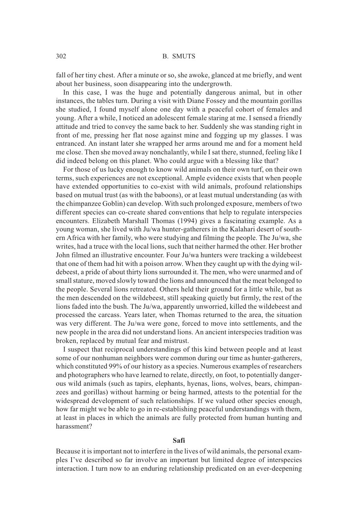fall of her tiny chest. After a minute or so, she awoke, glanced at me briefly, and went about her business, soon disappearing into the undergrowth.

In this case, I was the huge and potentially dangerous animal, but in other instances, the tables turn. During a visit with Diane Fossey and the mountain gorillas she studied, I found myself alone one day with a peaceful cohort of females and young. After a while, I noticed an adolescent female staring at me. I sensed a friendly attitude and tried to convey the same back to her. Suddenly she was standing right in front of me, pressing her flat nose against mine and fogging up my glasses. I was entranced. An instant later she wrapped her arms around me and for a moment held me close. Then she moved away nonchalantly, while I sat there, stunned, feeling like I did indeed belong on this planet. Who could argue with a blessing like that?

For those of us lucky enough to know wild animals on their own turf, on their own terms, such experiences are not exceptional. Ample evidence exists that when people have extended opportunities to co-exist with wild animals, profound relationships based on mutual trust (as with the baboons), or at least mutual understanding (as with the chimpanzee Goblin) can develop. With such prolonged exposure, members of two different species can co-create shared conventions that help to regulate interspecies encounters. Elizabeth Marshall Thomas (1994) gives a fascinating example. As a young woman, she lived with Ju/wa hunter-gatherers in the Kalahari desert of southern Africa with her family, who were studying and filming the people. The Ju/wa, she writes, had a truce with the local lions, such that neither harmed the other. Her brother John filmed an illustrative encounter. Four Ju/wa hunters were tracking a wildebeest that one of them had hit with a poison arrow. When they caught up with the dying wildebeest, a pride of about thirty lions surrounded it. The men, who were unarmed and of small stature, moved slowly toward the lions and announced that the meat belonged to the people. Several lions retreated. Others held their ground for a little while, but as the men descended on the wildebeest, still speaking quietly but firmly, the rest of the lions faded into the bush. The Ju/wa, apparently unworried, killed the wildebeest and processed the carcass. Years later, when Thomas returned to the area, the situation was very different. The Ju/wa were gone, forced to move into settlements, and the new people in the area did not understand lions. An ancient interspecies tradition was broken, replaced by mutual fear and mistrust.

I suspect that reciprocal understandings of this kind between people and at least some of our nonhuman neighbors were common during our time as hunter-gatherers, which constituted 99% of our history as a species. Numerous examples of researchers and photographers who have learned to relate, directly, on foot, to potentially dangerous wild animals (such as tapirs, elephants, hyenas, lions, wolves, bears, chimpanzees and gorillas) without harming or being harmed, attests to the potential for the widespread development of such relationships. If we valued other species enough, how far might we be able to go in re-establishing peaceful understandings with them, at least in places in which the animals are fully protected from human hunting and harassment?

## **Safi**

Because it is important not to interfere in the lives of wild animals, the personal examples I've described so far involve an important but limited degree of interspecies interaction. I turn now to an enduring relationship predicated on an ever-deepening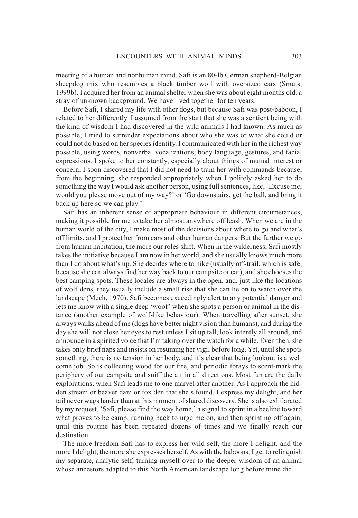meeting of a human and nonhuman mind. Safi is an 80-lb German shepherd-Belgian sheepdog mix who resembles a black timber wolf with oversized ears (Smuts, 1999b). I acquired her from an animal shelter when she was about eight months old, a stray of unknown background. We have lived together for ten years.

Before Safi, I shared my life with other dogs, but because Safi was post-baboon, I related to her differently. I assumed from the start that she was a sentient being with the kind of wisdom I had discovered in the wild animals I had known. As much as possible, I tried to surrender expectations about who she was or what she could or could not do based on her species identify. I communicated with her in the richest way possible, using words, nonverbal vocalizations, body language, gestures, and facial expressions. I spoke to her constantly, especially about things of mutual interest or concern. I soon discovered that I did not need to train her with commands because, from the beginning, she responded appropriately when I politely asked her to do something the way I would ask another person, using full sentences, like, 'Excuse me, would you please move out of my way?' or 'Go downstairs, get the ball, and bring it back up here so we can play.'

Safi has an inherent sense of appropriate behaviour in different circumstances, making it possible for me to take her almost anywhere off leash. When we are in the human world of the city, I make most of the decisions about where to go and what's off limits, and I protect her from cars and other human dangers. But the further we go from human habitation, the more our roles shift. When in the wilderness, Safi mostly takes the initiative because I am now in her world, and she usually knows much more than I do about what's up. She decides where to hike (usually off-trail, which is safe, because she can always find her way back to our campsite or car), and she chooses the best camping spots. These locales are always in the open, and, just like the locations of wolf dens, they usually include a small rise that she can lie on to watch over the landscape (Mech, 1970). Safi becomes exceedingly alert to any potential danger and lets me know with a single deep 'woof' when she spots a person or animal in the distance (another example of wolf-like behaviour). When travelling after sunset, she always walks ahead of me (dogs have better night vision than humans), and during the day she will not close her eyes to rest unless I sit up tall, look intently all around, and announce in a spirited voice that I'm taking over the watch for a while. Even then, she takes only brief naps and insists on resuming her vigil before long. Yet, until she spots something, there is no tension in her body, and it's clear that being lookout is a welcome job. So is collecting wood for our fire, and periodic forays to scent-mark the periphery of our campsite and sniff the air in all directions. Most fun are the daily explorations, when Safi leads me to one marvel after another. As I approach the hidden stream or beaver dam or fox den that she's found, I express my delight, and her tail never wags harder than at this moment of shared discovery. She is also exhilarated by my request, 'Safi, please find the way home,' a signal to sprint in a beeline toward what proves to be camp, running back to urge me on, and then sprinting off again, until this routine has been repeated dozens of times and we finally reach our destination.

The more freedom Safi has to express her wild self, the more I delight, and the more I delight, the more she expresses herself. As with the baboons, I get to relinquish my separate, analytic self, turning myself over to the deeper wisdom of an animal whose ancestors adapted to this North American landscape long before mine did.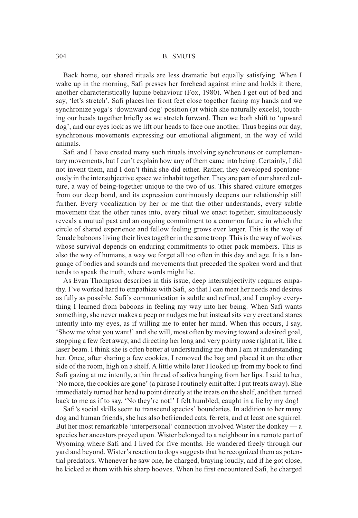Back home, our shared rituals are less dramatic but equally satisfying. When I wake up in the morning, Safi presses her forehead against mine and holds it there, another characteristically lupine behaviour (Fox, 1980). When I get out of bed and say, 'let's stretch', Safi places her front feet close together facing my hands and we synchronize yoga's 'downward dog' position (at which she naturally excels), touching our heads together briefly as we stretch forward. Then we both shift to 'upward dog', and our eyes lock as we lift our heads to face one another. Thus begins our day, synchronous movements expressing our emotional alignment, in the way of wild animals.

Safi and I have created many such rituals involving synchronous or complementary movements, but I can't explain how any of them came into being. Certainly, I did not invent them, and I don't think she did either. Rather, they developed spontaneously in the intersubjective space we inhabit together. They are part of our shared culture, a way of being-together unique to the two of us. This shared culture emerges from our deep bond, and its expression continuously deepens our relationship still further. Every vocalization by her or me that the other understands, every subtle movement that the other tunes into, every ritual we enact together, simultaneously reveals a mutual past and an ongoing commitment to a common future in which the circle of shared experience and fellow feeling grows ever larger. This is the way of female baboons living their lives together in the same troop. This is the way of wolves whose survival depends on enduring commitments to other pack members. This is also the way of humans, a way we forget all too often in this day and age. It is a language of bodies and sounds and movements that preceded the spoken word and that tends to speak the truth, where words might lie.

As Evan Thompson describes in this issue, deep intersubjectivity requires empathy. I've worked hard to empathize with Safi, so that I can meet her needs and desires as fully as possible. Safi's communication is subtle and refined, and I employ everything I learned from baboons in feeling my way into her being. When Safi wants something, she never makes a peep or nudges me but instead sits very erect and stares intently into my eyes, as if willing me to enter her mind. When this occurs, I say, 'Show me what you want!' and she will, most often by moving toward a desired goal, stopping a few feet away, and directing her long and very pointy nose right at it, like a laser beam. I think she is often better at understanding me than I am at understanding her. Once, after sharing a few cookies, I removed the bag and placed it on the other side of the room, high on a shelf. A little while later I looked up from my book to find Safi gazing at me intently, a thin thread of saliva hanging from her lips. I said to her, 'No more, the cookies are gone' (a phrase I routinely emit after I put treats away). She immediately turned her head to point directly at the treats on the shelf, and then turned back to me as if to say, 'No they're not!' I felt humbled, caught in a lie by my dog!

Safi's social skills seem to transcend species' boundaries. In addition to her many dog and human friends, she has also befriended cats, ferrets, and at least one squirrel. But her most remarkable 'interpersonal' connection involved Wister the donkey — a species her ancestors preyed upon. Wister belonged to a neighbour in a remote part of Wyoming where Safi and I lived for five months. He wandered freely through our yard and beyond. Wister's reaction to dogs suggests that he recognized them as potential predators. Whenever he saw one, he charged, braying loudly, and if he got close, he kicked at them with his sharp hooves. When he first encountered Safi, he charged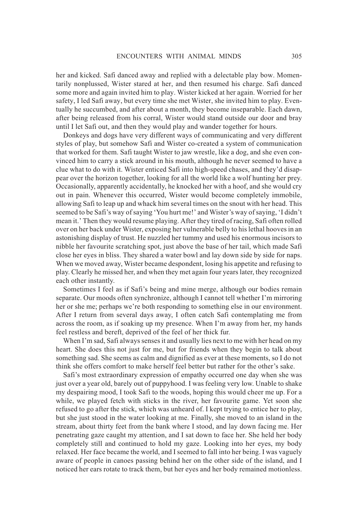her and kicked. Safi danced away and replied with a delectable play bow. Momentarily nonplussed, Wister stared at her, and then resumed his charge. Safi danced some more and again invited him to play. Wister kicked at her again. Worried for her safety, I led Safi away, but every time she met Wister, she invited him to play. Eventually he succumbed, and after about a month, they become inseparable. Each dawn, after being released from his corral, Wister would stand outside our door and bray until I let Safi out, and then they would play and wander together for hours.

Donkeys and dogs have very different ways of communicating and very different styles of play, but somehow Safi and Wister co-created a system of communication that worked for them. Safi taught Wister to jaw wrestle, like a dog, and she even convinced him to carry a stick around in his mouth, although he never seemed to have a clue what to do with it. Wister enticed Safi into high-speed chases, and they'd disappear over the horizon together, looking for all the world like a wolf hunting her prey. Occasionally, apparently accidentally, he knocked her with a hoof, and she would cry out in pain. Whenever this occurred, Wister would become completely immobile, allowing Safi to leap up and whack him several times on the snout with her head. This seemed to be Safi's way of saying 'You hurt me!' and Wister's way of saying, 'I didn't mean it.' Then they would resume playing. After they tired of racing, Safi often rolled over on her back under Wister, exposing her vulnerable belly to his lethal hooves in an astonishing display of trust. He nuzzled her tummy and used his enormous incisors to nibble her favourite scratching spot, just above the base of her tail, which made Safi close her eyes in bliss. They shared a water bowl and lay down side by side for naps. When we moved away, Wister became despondent, losing his appetite and refusing to play. Clearly he missed her, and when they met again four years later, they recognized each other instantly.

Sometimes I feel as if Safi's being and mine merge, although our bodies remain separate. Our moods often synchronize, although I cannot tell whether I'm mirroring her or she me; perhaps we're both responding to something else in our environment. After I return from several days away, I often catch Safi contemplating me from across the room, as if soaking up my presence. When I'm away from her, my hands feel restless and bereft, deprived of the feel of her thick fur.

When I'm sad, Safi always senses it and usually lies next to me with her head on my heart. She does this not just for me, but for friends when they begin to talk about something sad. She seems as calm and dignified as ever at these moments, so I do not think she offers comfort to make herself feel better but rather for the other's sake.

Safi's most extraordinary expression of empathy occurred one day when she was just over a year old, barely out of puppyhood. I was feeling very low. Unable to shake my despairing mood, I took Safi to the woods, hoping this would cheer me up. For a while, we played fetch with sticks in the river, her favourite game. Yet soon she refused to go after the stick, which was unheard of. I kept trying to entice her to play, but she just stood in the water looking at me. Finally, she moved to an island in the stream, about thirty feet from the bank where I stood, and lay down facing me. Her penetrating gaze caught my attention, and I sat down to face her. She held her body completely still and continued to hold my gaze. Looking into her eyes, my body relaxed. Her face became the world, and I seemed to fall into her being. I was vaguely aware of people in canoes passing behind her on the other side of the island, and I noticed her ears rotate to track them, but her eyes and her body remained motionless.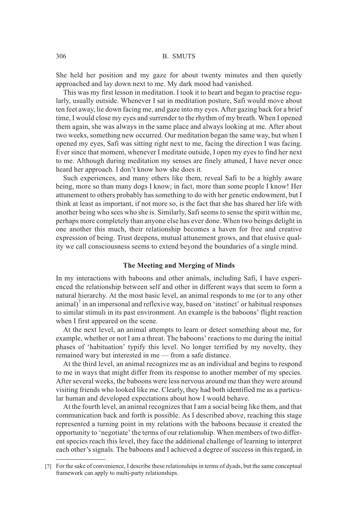She held her position and my gaze for about twenty minutes and then quietly approached and lay down next to me. My dark mood had vanished.

This was my first lesson in meditation. I took it to heart and began to practise regularly, usually outside. Whenever I sat in meditation posture, Safi would move about ten feet away, lie down facing me, and gaze into my eyes. After gazing back for a brief time, I would close my eyes and surrender to the rhythm of my breath. When I opened them again, she was always in the same place and always looking at me. After about two weeks, something new occurred. Our meditation began the same way, but when I opened my eyes, Safi was sitting right next to me, facing the direction I was facing. Ever since that moment, whenever I meditate outside, I open my eyes to find her next to me. Although during meditation my senses are finely attuned, I have never once heard her approach. I don't know how she does it.

Such experiences, and many others like them, reveal Safi to be a highly aware being, more so than many dogs I know; in fact, more than some people I know! Her attunement to others probably has something to do with her genetic endowment, but I think at least as important, if not more so, is the fact that she has shared her life with another being who sees who she is. Similarly, Safi seems to sense the spirit within me, perhaps more completely than anyone else has ever done. When two beings delight in one another this much, their relationship becomes a haven for free and creative expression of being. Trust deepens, mutual attunement grows, and that elusive quality we call consciousness seems to extend beyond the boundaries of a single mind.

#### **The Meeting and Merging of Minds**

In my interactions with baboons and other animals, including Safi, I have experienced the relationship between self and other in different ways that seem to form a natural hierarchy. At the most basic level, an animal responds to me (or to any other animal)<sup>7</sup> in an impersonal and reflexive way, based on 'instinct' or habitual responses to similar stimuli in its past environment. An example is the baboons' flight reaction when I first appeared on the scene.

At the next level, an animal attempts to learn or detect something about me, for example, whether or not I am a threat. The baboons' reactions to me during the initial phases of 'habituation' typify this level. No longer terrified by my novelty, they remained wary but interested in me — from a safe distance.

At the third level, an animal recognizes me as an individual and begins to respond to me in ways that might differ from its response to another member of my species. After several weeks, the baboons were less nervous around me than they were around visiting friends who looked like me. Clearly, they had both identified me as a particular human and developed expectations about how I would behave.

At the fourth level, an animal recognizes that I am a social being like them, and that communication back and forth is possible. As I described above, reaching this stage represented a turning point in my relations with the baboons because it created the opportunity to 'negotiate' the terms of our relationship. When members of two different species reach this level, they face the additional challenge of learning to interpret each other's signals. The baboons and I achieved a degree of success in this regard, in

<sup>[7]</sup> For the sake of convenience, I describe these relationships in terms of dyads, but the same conceptual framework can apply to multi-party relationships.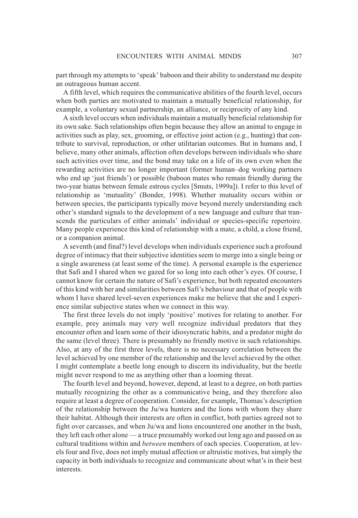part through my attempts to 'speak' baboon and their ability to understand me despite an outrageous human accent.

A fifth level, which requires the communicative abilities of the fourth level, occurs when both parties are motivated to maintain a mutually beneficial relationship, for example, a voluntary sexual partnership, an alliance, or reciprocity of any kind.

A sixth level occurs when individuals maintain a mutually beneficial relationship for its own sake. Such relationships often begin because they allow an animal to engage in activities such as play, sex, grooming, or effective joint action (e.g., hunting) that contribute to survival, reproduction, or other utilitarian outcomes. But in humans and, I believe, many other animals, affection often develops between individuals who share such activities over time, and the bond may take on a life of its own even when the rewarding activities are no longer important (former human–dog working partners who end up 'just friends') or possible (baboon mates who remain friendly during the two-year hiatus between female estrous cycles [Smuts, 1999a]). I refer to this level of relationship as 'mutuality' (Bonder, 1998). Whether mutuality occurs within or between species, the participants typically move beyond merely understanding each other's standard signals to the development of a new language and culture that transcends the particulars of either animals' individual or species-specific repertoire. Many people experience this kind of relationship with a mate, a child, a close friend, or a companion animal.

A seventh (and final?) level develops when individuals experience such a profound degree of intimacy that their subjective identities seem to merge into a single being or a single awareness (at least some of the time). A personal example is the experience that Safi and I shared when we gazed for so long into each other's eyes. Of course, I cannot know for certain the nature of Safi's experience, but both repeated encounters of this kind with her and similarities between Safi's behaviour and that of people with whom I have shared level-seven experiences make me believe that she and I experience similar subjective states when we connect in this way.

The first three levels do not imply 'positive' motives for relating to another. For example, prey animals may very well recognize individual predators that they encounter often and learn some of their idiosyncratic habits, and a predator might do the same (level three). There is presumably no friendly motive in such relationships. Also, at any of the first three levels, there is no necessary correlation between the level achieved by one member of the relationship and the level achieved by the other. I might contemplate a beetle long enough to discern its individuality, but the beetle might never respond to me as anything other than a looming threat.

The fourth level and beyond, however, depend, at least to a degree, on both parties mutually recognizing the other as a communicative being, and they therefore also require at least a degree of cooperation. Consider, for example, Thomas's description of the relationship between the Ju/wa hunters and the lions with whom they share their habitat. Although their interests are often in conflict, both parties agreed not to fight over carcasses, and when Ju/wa and lions encountered one another in the bush, they left each other alone — a truce presumably worked out long ago and passed on as cultural traditions within and *between* members of each species. Cooperation, at levels four and five, does not imply mutual affection or altruistic motives, but simply the capacity in both individuals to recognize and communicate about what's in their best interests.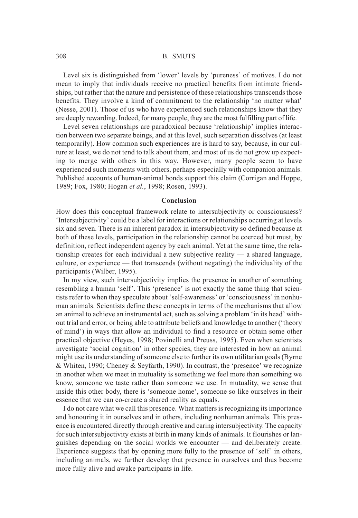Level six is distinguished from 'lower' levels by 'pureness' of motives. I do not mean to imply that individuals receive no practical benefits from intimate friendships, but rather that the nature and persistence of these relationships transcends those benefits. They involve a kind of commitment to the relationship 'no matter what' (Nesse, 2001). Those of us who have experienced such relationships know that they are deeply rewarding. Indeed, for many people, they are the most fulfilling part of life.

Level seven relationships are paradoxical because 'relationship' implies interaction between two separate beings, and at this level, such separation dissolves (at least temporarily). How common such experiences are is hard to say, because, in our culture at least, we do not tend to talk about them, and most of us do not grow up expecting to merge with others in this way. However, many people seem to have experienced such moments with others, perhaps especially with companion animals. Published accounts of human-animal bonds support this claim (Corrigan and Hoppe, 1989; Fox, 1980; Hogan *et al.*, 1998; Rosen, 1993).

### **Conclusion**

How does this conceptual framework relate to intersubjectivity or consciousness? 'Intersubjectivity' could be a label for interactions or relationships occurring at levels six and seven. There is an inherent paradox in intersubjectivity so defined because at both of these levels, participation in the relationship cannot be coerced but must, by definition, reflect independent agency by each animal. Yet at the same time, the relationship creates for each individual a new subjective reality — a shared language, culture, or experience — that transcends (without negating) the individuality of the participants (Wilber, 1995).

In my view, such intersubjectivity implies the presence in another of something resembling a human 'self'. This 'presence' is not exactly the same thing that scientists refer to when they speculate about 'self-awareness' or 'consciousness' in nonhuman animals. Scientists define these concepts in terms of the mechanisms that allow an animal to achieve an instrumental act, such as solving a problem 'in its head' without trial and error, or being able to attribute beliefs and knowledge to another ('theory of mind') in ways that allow an individual to find a resource or obtain some other practical objective (Heyes, 1998; Povinelli and Preuss, 1995). Even when scientists investigate 'social cognition' in other species, they are interested in how an animal might use its understanding of someone else to further its own utilitarian goals (Byrne & Whiten, 1990; Cheney & Seyfarth, 1990). In contrast, the 'presence' we recognize in another when we meet in mutuality is something we feel more than something we know, someone we taste rather than someone we use. In mutuality, we sense that inside this other body, there is 'someone home', someone so like ourselves in their essence that we can co-create a shared reality as equals.

I do not care what we call this presence. What matters is recognizing its importance and honouring it in ourselves and in others, including nonhuman animals. This presence is encountered directly through creative and caring intersubjectivity. The capacity for such intersubjectivity exists at birth in many kinds of animals. It flourishes or languishes depending on the social worlds we encounter — and deliberately create. Experience suggests that by opening more fully to the presence of 'self' in others, including animals, we further develop that presence in ourselves and thus become more fully alive and awake participants in life.